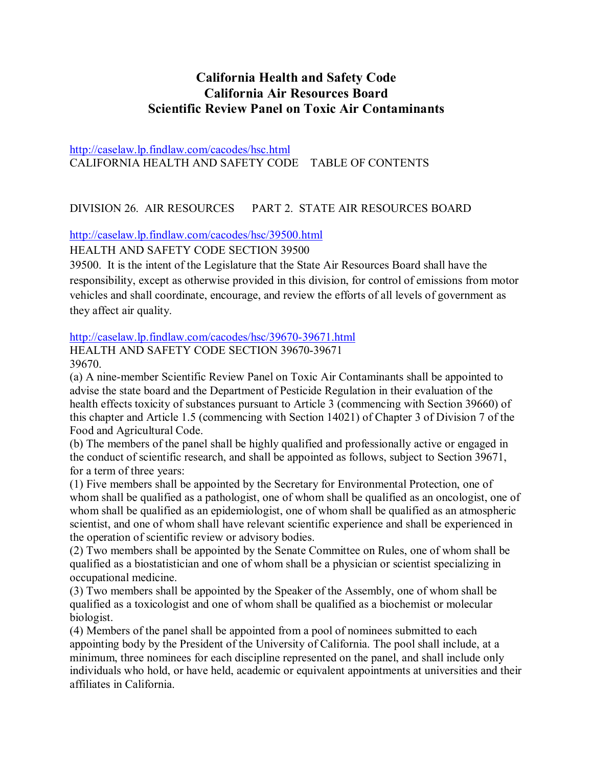# **California Health and Safety Code California Air Resources Board Scientific Review Panel on Toxic Air Contaminants**

http://caselaw.lp.findlaw.com/cacodes/hsc.html CALIFORNIA HEALTH AND SAFETY CODE TABLE OF CONTENTS

## DIVISION 26. AIR RESOURCES PART 2. STATE AIR RESOURCES BOARD

http://caselaw.lp.findlaw.com/cacodes/hsc/39500.html

HEALTH AND SAFETY CODE SECTION 39500

39500. It is the intent of the Legislature that the State Air Resources Board shall have the responsibility, except as otherwise provided in this division, for control of emissions from motor vehicles and shall coordinate, encourage, and review the efforts of all levels of government as they affect air quality.

## http://caselaw.lp.findlaw.com/cacodes/hsc/39670-39671.html

HEALTH AND SAFETY CODE SECTION 39670-39671 39670.

(a) A nine-member Scientific Review Panel on Toxic Air Contaminants shall be appointed to advise the state board and the Department of Pesticide Regulation in their evaluation of the health effects toxicity of substances pursuant to Article 3 (commencing with Section 39660) of this chapter and Article 1.5 (commencing with Section 14021) of Chapter 3 of Division 7 of the Food and Agricultural Code.

(b) The members of the panel shall be highly qualified and professionally active or engaged in the conduct of scientific research, and shall be appointed as follows, subject to Section 39671, for a term of three years:

(1) Five members shall be appointed by the Secretary for Environmental Protection, one of whom shall be qualified as a pathologist, one of whom shall be qualified as an oncologist, one of whom shall be qualified as an epidemiologist, one of whom shall be qualified as an atmospheric scientist, and one of whom shall have relevant scientific experience and shall be experienced in the operation of scientific review or advisory bodies.

(2) Two members shall be appointed by the Senate Committee on Rules, one of whom shall be qualified as a biostatistician and one of whom shall be a physician or scientist specializing in occupational medicine.

(3) Two members shall be appointed by the Speaker of the Assembly, one of whom shall be qualified as a toxicologist and one of whom shall be qualified as a biochemist or molecular biologist.

(4) Members of the panel shall be appointed from a pool of nominees submitted to each appointing body by the President of the University of California. The pool shall include, at a minimum, three nominees for each discipline represented on the panel, and shall include only individuals who hold, or have held, academic or equivalent appointments at universities and their affiliates in California.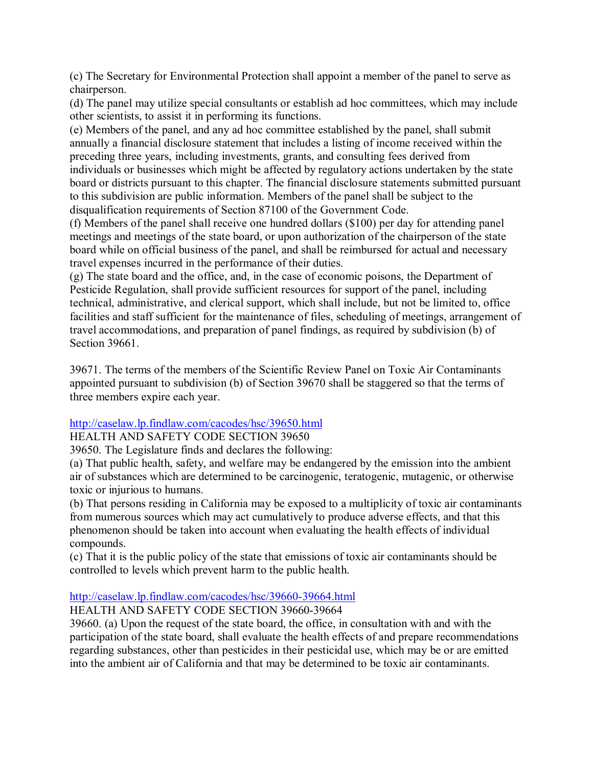(c) The Secretary for Environmental Protection shall appoint a member of the panel to serve as chairperson.

(d) The panel may utilize special consultants or establish ad hoc committees, which may include other scientists, to assist it in performing its functions.

(e) Members of the panel, and any ad hoc committee established by the panel, shall submit annually a financial disclosure statement that includes a listing of income received within the preceding three years, including investments, grants, and consulting fees derived from individuals or businesses which might be affected by regulatory actions undertaken by the state board or districts pursuant to this chapter. The financial disclosure statements submitted pursuant to this subdivision are public information. Members of the panel shall be subject to the disqualification requirements of Section 87100 of the Government Code.

(f) Members of the panel shall receive one hundred dollars (\$100) per day for attending panel meetings and meetings of the state board, or upon authorization of the chairperson of the state board while on official business of the panel, and shall be reimbursed for actual and necessary travel expenses incurred in the performance of their duties.

(g) The state board and the office, and, in the case of economic poisons, the Department of Pesticide Regulation, shall provide sufficient resources for support of the panel, including technical, administrative, and clerical support, which shall include, but not be limited to, office facilities and staff sufficient for the maintenance of files, scheduling of meetings, arrangement of travel accommodations, and preparation of panel findings, as required by subdivision (b) of Section 39661.

39671. The terms of the members of the Scientific Review Panel on Toxic Air Contaminants appointed pursuant to subdivision (b) of Section 39670 shall be staggered so that the terms of three members expire each year.

## http://caselaw.lp.findlaw.com/cacodes/hsc/39650.html

## HEALTH AND SAFETY CODE SECTION 39650

39650. The Legislature finds and declares the following:

(a) That public health, safety, and welfare may be endangered by the emission into the ambient air of substances which are determined to be carcinogenic, teratogenic, mutagenic, or otherwise toxic or injurious to humans.

(b) That persons residing in California may be exposed to a multiplicity of toxic air contaminants from numerous sources which may act cumulatively to produce adverse effects, and that this phenomenon should be taken into account when evaluating the health effects of individual compounds.

(c) That it is the public policy of the state that emissions of toxic air contaminants should be controlled to levels which prevent harm to the public health.

## http://caselaw.lp.findlaw.com/cacodes/hsc/39660-39664.html

## HEALTH AND SAFETY CODE SECTION 39660-39664

39660. (a) Upon the request of the state board, the office, in consultation with and with the participation of the state board, shall evaluate the health effects of and prepare recommendations regarding substances, other than pesticides in their pesticidal use, which may be or are emitted into the ambient air of California and that may be determined to be toxic air contaminants.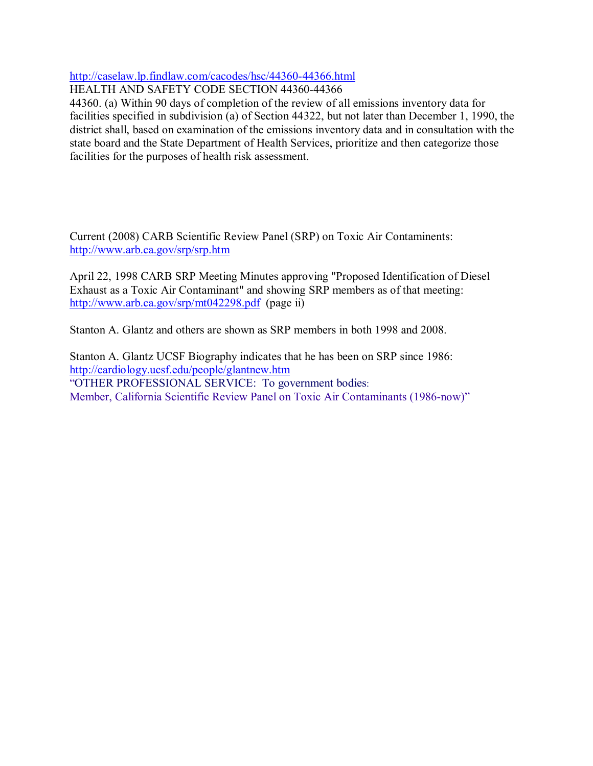## http://caselaw.lp.findlaw.com/cacodes/hsc/44360-44366.html

HEALTH AND SAFETY CODE SECTION 44360-44366

44360. (a) Within 90 days of completion of the review of all emissions inventory data for facilities specified in subdivision (a) of Section 44322, but not later than December 1, 1990, the district shall, based on examination of the emissions inventory data and in consultation with the state board and the State Department of Health Services, prioritize and then categorize those facilities for the purposes of health risk assessment.

Current (2008) CARB Scientific Review Panel (SRP) on Toxic Air Contaminents: http://www.arb.ca.gov/srp/srp.htm

April 22, 1998 CARB SRP Meeting Minutes approving "Proposed Identification of Diesel Exhaust as a Toxic Air Contaminant" and showing SRP members as of that meeting: http://www.arb.ca.gov/srp/mt042298.pdf (page ii)

Stanton A. Glantz and others are shown as SRP members in both 1998 and 2008.

Stanton A. Glantz UCSF Biography indicates that he has been on SRP since 1986: http://cardiology.ucsf.edu/people/glantnew.htm "OTHER PROFESSIONAL SERVICE: To government bodies: Member, California Scientific Review Panel on Toxic Air Contaminants (1986-now)"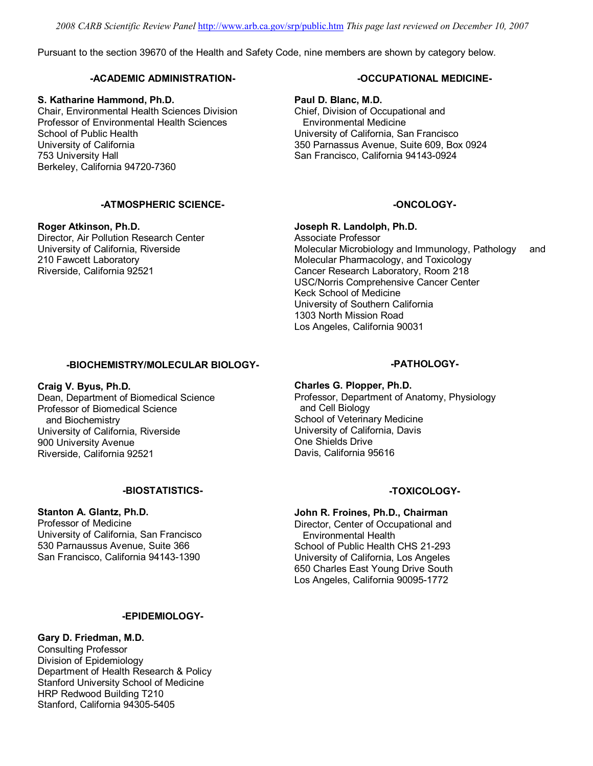*2008 CARB Scientific Review Panel* http://www.arb.ca.gov/srp/public.htm *This page last reviewed on December 10, 2007*

Pursuant to the section 39670 of the Health and Safety Code, nine members are shown by category below.

#### **-ACADEMIC ADMINISTRATION-**

#### **S. Katharine Hammond, Ph.D.**

Chair, Environmental Health Sciences Division Professor of Environmental Health Sciences School of Public Health University of California 753 University Hall Berkeley, California 94720-7360

#### **-ATMOSPHERIC SCIENCE-**

**Roger Atkinson, Ph.D.** Director, Air Pollution Research Center University of California, Riverside 210 Fawcett Laboratory Riverside, California 92521

#### **-BIOCHEMISTRY/MOLECULAR BIOLOGY-**

**Craig V. Byus, Ph.D.** Dean, Department of Biomedical Science Professor of Biomedical Science and Biochemistry University of California, Riverside 900 University Avenue Riverside, California 92521

#### **-BIOSTATISTICS-**

# **Stanton A. Glantz, Ph.D.**

Professor of Medicine University of California, San Francisco 530 Parnaussus Avenue, Suite 366 San Francisco, California 94143-1390

#### **-EPIDEMIOLOGY-**

#### **Gary D. Friedman, M.D.**

Consulting Professor Division of Epidemiology Department of Health Research & Policy Stanford University School of Medicine HRP Redwood Building T210 Stanford, California 94305-5405

#### **-OCCUPATIONAL MEDICINE-**

**Paul D. Blanc, M.D.** Chief, Division of Occupational and Environmental Medicine University of California, San Francisco 350 Parnassus Avenue, Suite 609, Box 0924 San Francisco, California 94143-0924

#### **-ONCOLOGY-**

**Joseph R. Landolph, Ph.D.** Associate Professor Molecular Microbiology and Immunology, Pathology and Molecular Pharmacology, and Toxicology Cancer Research Laboratory, Room 218 USC/Norris Comprehensive Cancer Center Keck School of Medicine University of Southern California

1303 North Mission Road Los Angeles, California 90031

#### **-PATHOLOGY-**

**Charles G. Plopper, Ph.D.** Professor, Department of Anatomy, Physiology and Cell Biology School of Veterinary Medicine University of California, Davis One Shields Drive Davis, California 95616

### **-TOXICOLOGY-**

#### **John R. Froines, Ph.D., Chairman**

Director, Center of Occupational and Environmental Health School of Public Health CHS 21-293 University of California, Los Angeles 650 Charles East Young Drive South Los Angeles, California 90095-1772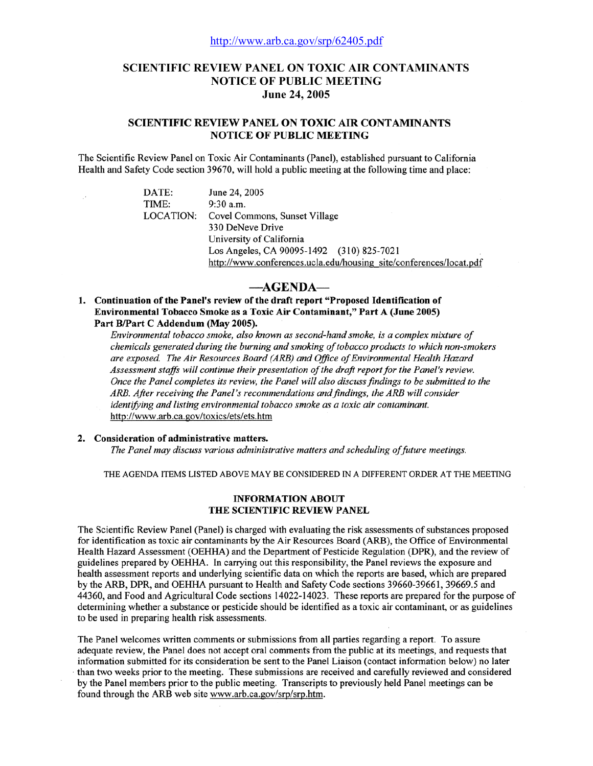### **SCIENTIFIC REVIEW PANEL ON TOXIC AIR CONTAMINANTS NOTICE OF PUBLIC MEETING June 24, 2005**

#### **SCIENTIFIC REVIEW PANEL ON TOXIC AIR CONTAMINANTS NOTICE OF PUBLIC MEETING**

The Scientific Review Panel on Toxic Air Contaminants (Panel), established pursuant to California Health and Safety Code section 39670, will hold a public meeting at the following time and place:

> DATE: TIME: **LOCATION:**

June 24, 2005 9:30 a.m. Covel Commons, Sunset Village 330 DeNeve Drive University of California Los Angeles, CA 90095-1492 (310) 825-7021 http://www.conferences.ucla.edu/housing\_site/conferences/locat.pdf

#### -AGENDA-

1. Continuation of the Panel's review of the draft report "Proposed Identification of Environmental Tobacco Smoke as a Toxic Air Contaminant," Part A (June 2005) Part B/Part C Addendum (May 2005).

Environmental tobacco smoke, also known as second-hand smoke, is a complex mixture of chemicals generated during the burning and smoking of tobacco products to which non-smokers are exposed. The Air Resources Board (ARB) and Office of Environmental Health Hazard Assessment staffs will continue their presentation of the draft report for the Panel's review. Once the Panel completes its review, the Panel will also discuss findings to be submitted to the ARB. After receiving the Panel's recommendations and findings, the ARB will consider identifying and listing environmental tobacco smoke as a toxic air contaminant. http://www.arb.ca.gov/toxics/ets/ets.htm

#### 2. Consideration of administrative matters.

The Panel may discuss various administrative matters and scheduling of future meetings.

THE AGENDA ITEMS LISTED ABOVE MAY BE CONSIDERED IN A DIFFERENT ORDER AT THE MEETING

#### **INFORMATION ABOUT** THE SCIENTIFIC REVIEW PANEL

The Scientific Review Panel (Panel) is charged with evaluating the risk assessments of substances proposed for identification as toxic air contaminants by the Air Resources Board (ARB), the Office of Environmental Health Hazard Assessment (OEHHA) and the Department of Pesticide Regulation (DPR), and the review of guidelines prepared by OEHHA. In carrying out this responsibility, the Panel reviews the exposure and health assessment reports and underlying scientific data on which the reports are based, which are prepared by the ARB, DPR, and OEHHA pursuant to Health and Safety Code sections 39660-39661, 39669.5 and 44360, and Food and Agricultural Code sections 14022-14023. These reports are prepared for the purpose of determining whether a substance or pesticide should be identified as a toxic air contaminant, or as guidelines to be used in preparing health risk assessments.

The Panel welcomes written comments or submissions from all parties regarding a report. To assure adequate review, the Panel does not accept oral comments from the public at its meetings, and requests that information submitted for its consideration be sent to the Panel Liaison (contact information below) no later than two weeks prior to the meeting. These submissions are received and carefully reviewed and considered by the Panel members prior to the public meeting. Transcripts to previously held Panel meetings can be found through the ARB web site www.arb.ca.gov/srp/srp.htm.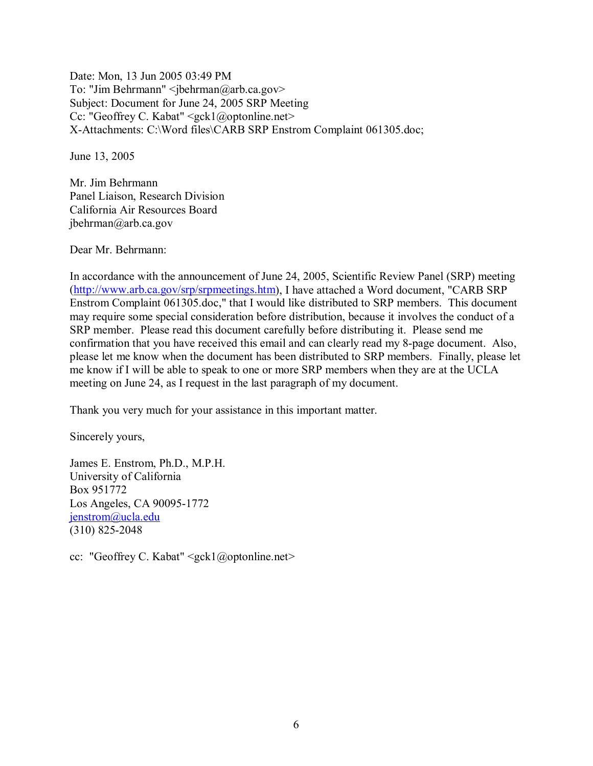Date: Mon, 13 Jun 2005 03:49 PM To: "Jim Behrmann"  $\leq$ jbehrman@arb.ca.gov> Subject: Document for June 24, 2005 SRP Meeting Cc: "Geoffrey C. Kabat" <gck1@optonline.net> X-Attachments: C:\Word files\CARB SRP Enstrom Complaint 061305.doc;

June 13, 2005

Mr. Jim Behrmann Panel Liaison, Research Division California Air Resources Board jbehrman@arb.ca.gov

Dear Mr. Behrmann:

In accordance with the announcement of June 24, 2005, Scientific Review Panel (SRP) meeting (http://www.arb.ca.gov/srp/srpmeetings.htm), I have attached a Word document, "CARB SRP Enstrom Complaint 061305.doc," that I would like distributed to SRP members. This document may require some special consideration before distribution, because it involves the conduct of a SRP member. Please read this document carefully before distributing it. Please send me confirmation that you have received this email and can clearly read my 8-page document. Also, please let me know when the document has been distributed to SRP members. Finally, please let me know if I will be able to speak to one or more SRP members when they are at the UCLA meeting on June 24, as I request in the last paragraph of my document.

Thank you very much for your assistance in this important matter.

Sincerely yours,

James E. Enstrom, Ph.D., M.P.H. University of California Box 951772 Los Angeles, CA 90095-1772 jenstrom@ucla.edu (310) 825-2048

cc: "Geoffrey C. Kabat" <gck1@optonline.net>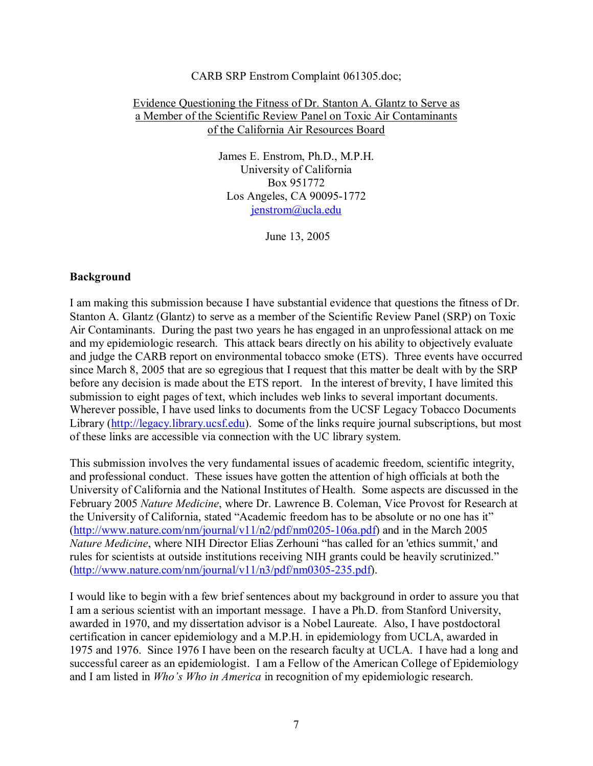#### CARB SRP Enstrom Complaint 061305.doc;

## Evidence Questioning the Fitness of Dr. Stanton A. Glantz to Serve as a Member of the Scientific Review Panel on Toxic Air Contaminants of the California Air Resources Board

James E. Enstrom, Ph.D., M.P.H. University of California Box 951772 Los Angeles, CA 90095-1772 jenstrom@ucla.edu

June 13, 2005

## **Background**

I am making this submission because I have substantial evidence that questions the fitness of Dr. Stanton A. Glantz (Glantz) to serve as a member of the Scientific Review Panel (SRP) on Toxic Air Contaminants. During the past two years he has engaged in an unprofessional attack on me and my epidemiologic research. This attack bears directly on his ability to objectively evaluate and judge the CARB report on environmental tobacco smoke (ETS). Three events have occurred since March 8, 2005 that are so egregious that I request that this matter be dealt with by the SRP before any decision is made about the ETS report. In the interest of brevity, I have limited this submission to eight pages of text, which includes web links to several important documents. Wherever possible, I have used links to documents from the UCSF Legacy Tobacco Documents Library (http://legacy.library.ucsf.edu). Some of the links require journal subscriptions, but most of these links are accessible via connection with the UC library system.

This submission involves the very fundamental issues of academic freedom, scientific integrity, and professional conduct. These issues have gotten the attention of high officials at both the University of California and the National Institutes of Health. Some aspects are discussed in the February 2005 *Nature Medicine*, where Dr. Lawrence B. Coleman, Vice Provost for Research at the University of California, stated "Academic freedom has to be absolute or no one has it" (http://www.nature.com/nm/journal/v11/n2/pdf/nm0205-106a.pdf) and in the March 2005 *Nature Medicine*, where NIH Director Elias Zerhouni "has called for an 'ethics summit,' and rules for scientists at outside institutions receiving NIH grants could be heavily scrutinized." (http://www.nature.com/nm/journal/v11/n3/pdf/nm0305-235.pdf).

I would like to begin with a few brief sentences about my background in order to assure you that I am a serious scientist with an important message. I have a Ph.D. from Stanford University, awarded in 1970, and my dissertation advisor is a Nobel Laureate. Also, I have postdoctoral certification in cancer epidemiology and a M.P.H. in epidemiology from UCLA, awarded in 1975 and 1976. Since 1976 I have been on the research faculty at UCLA. I have had a long and successful career as an epidemiologist. I am a Fellow of the American College of Epidemiology and I am listed in *Who's Who in America* in recognition of my epidemiologic research.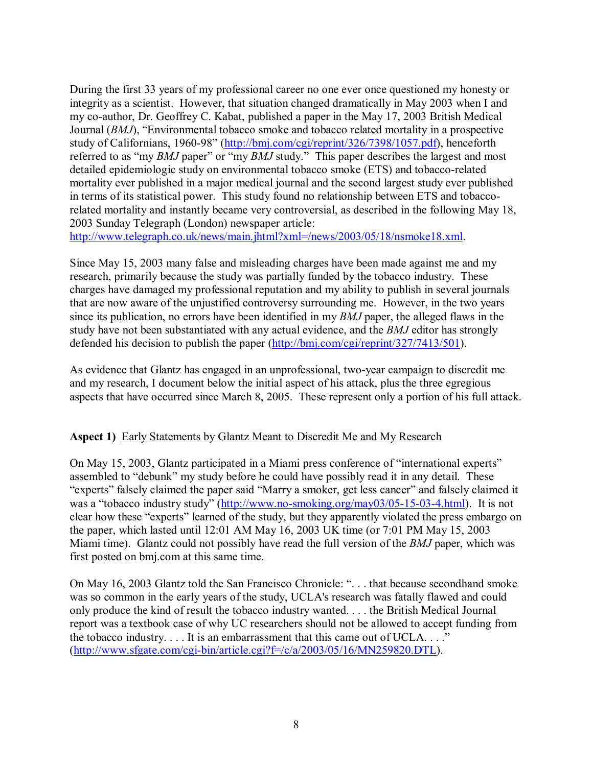During the first 33 years of my professional career no one ever once questioned my honesty or integrity as a scientist. However, that situation changed dramatically in May 2003 when I and my co-author, Dr. Geoffrey C. Kabat, published a paper in the May 17, 2003 British Medical Journal (*BMJ*), "Environmental tobacco smoke and tobacco related mortality in a prospective study of Californians, 1960-98" (http://bmj.com/cgi/reprint/326/7398/1057.pdf), henceforth referred to as "my *BMJ* paper" or "my *BMJ* study." This paper describes the largest and most detailed epidemiologic study on environmental tobacco smoke (ETS) and tobacco-related mortality ever published in a major medical journal and the second largest study ever published in terms of its statistical power. This study found no relationship between ETS and tobaccorelated mortality and instantly became very controversial, as described in the following May 18, 2003 Sunday Telegraph (London) newspaper article:

http://www.telegraph.co.uk/news/main.jhtml?xml=/news/2003/05/18/nsmoke18.xml.

Since May 15, 2003 many false and misleading charges have been made against me and my research, primarily because the study was partially funded by the tobacco industry. These charges have damaged my professional reputation and my ability to publish in several journals that are now aware of the unjustified controversy surrounding me. However, in the two years since its publication, no errors have been identified in my *BMJ* paper, the alleged flaws in the study have not been substantiated with any actual evidence, and the *BMJ* editor has strongly defended his decision to publish the paper (http://bmj.com/cgi/reprint/327/7413/501).

As evidence that Glantz has engaged in an unprofessional, two-year campaign to discredit me and my research, I document below the initial aspect of his attack, plus the three egregious aspects that have occurred since March 8, 2005. These represent only a portion of his full attack.

## **Aspect 1)** Early Statements by Glantz Meant to Discredit Me and My Research

On May 15, 2003, Glantz participated in a Miami press conference of "international experts" assembled to "debunk" my study before he could have possibly read it in any detail. These "experts" falsely claimed the paper said "Marry a smoker, get less cancer" and falsely claimed it was a "tobacco industry study" (http://www.no-smoking.org/may03/05-15-03-4.html). It is not clear how these "experts" learned of the study, but they apparently violated the press embargo on the paper, which lasted until 12:01 AM May 16, 2003 UK time (or 7:01 PM May 15, 2003 Miami time). Glantz could not possibly have read the full version of the *BMJ* paper, which was first posted on bmj.com at this same time.

On May 16, 2003 Glantz told the San Francisco Chronicle: ". . . that because secondhand smoke was so common in the early years of the study, UCLA's research was fatally flawed and could only produce the kind of result the tobacco industry wanted. . . . the British Medical Journal report was a textbook case of why UC researchers should not be allowed to accept funding from the tobacco industry. . . . It is an embarrassment that this came out of UCLA. . . ." (http://www.sfgate.com/cgi-bin/article.cgi?f=/c/a/2003/05/16/MN259820.DTL).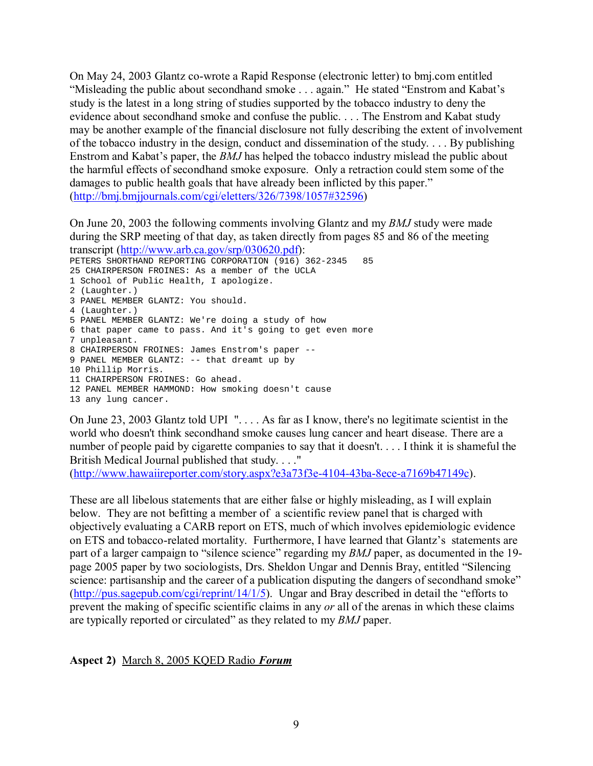On May 24, 2003 Glantz co-wrote a Rapid Response (electronic letter) to bmj.com entitled "Misleading the public about secondhand smoke . . . again." He stated "Enstrom and Kabat's study is the latest in a long string of studies supported by the tobacco industry to deny the evidence about secondhand smoke and confuse the public. . . . The Enstrom and Kabat study may be another example of the financial disclosure not fully describing the extent of involvement of the tobacco industry in the design, conduct and dissemination of the study. . . . By publishing Enstrom and Kabat's paper, the *BMJ* has helped the tobacco industry mislead the public about the harmful effects of secondhand smoke exposure. Only a retraction could stem some of the damages to public health goals that have already been inflicted by this paper." (http://bmj.bmjjournals.com/cgi/eletters/326/7398/1057#32596)

On June 20, 2003 the following comments involving Glantz and my *BMJ* study were made during the SRP meeting of that day, as taken directly from pages 85 and 86 of the meeting transcript (http://www.arb.ca.gov/srp/030620.pdf):

PETERS SHORTHAND REPORTING CORPORATION (916) 362-2345 85 25 CHAIRPERSON FROINES: As a member of the UCLA 1 School of Public Health, I apologize. 2 (Laughter.) 3 PANEL MEMBER GLANTZ: You should. 4 (Laughter.) 5 PANEL MEMBER GLANTZ: We're doing a study of how 6 that paper came to pass. And it's going to get even more 7 unpleasant. 8 CHAIRPERSON FROINES: James Enstrom's paper -- 9 PANEL MEMBER GLANTZ: -- that dreamt up by 10 Phillip Morris. 11 CHAIRPERSON FROINES: Go ahead. 12 PANEL MEMBER HAMMOND: How smoking doesn't cause 13 any lung cancer.

On June 23, 2003 Glantz told UPI ". . . . As far as I know, there's no legitimate scientist in the world who doesn't think secondhand smoke causes lung cancer and heart disease. There are a number of people paid by cigarette companies to say that it doesn't. . . . I think it is shameful the British Medical Journal published that study. . . ."

(http://www.hawaiireporter.com/story.aspx?e3a73f3e-4104-43ba-8ece-a7169b47149c).

These are all libelous statements that are either false or highly misleading, as I will explain below. They are not befitting a member of a scientific review panel that is charged with objectively evaluating a CARB report on ETS, much of which involves epidemiologic evidence on ETS and tobacco-related mortality. Furthermore, I have learned that Glantz's statements are part of a larger campaign to "silence science" regarding my *BMJ* paper, as documented in the 19page 2005 paper by two sociologists, Drs. Sheldon Ungar and Dennis Bray, entitled "Silencing science: partisanship and the career of a publication disputing the dangers of secondhand smoke" (http://pus.sagepub.com/cgi/reprint/14/1/5). Ungar and Bray described in detail the "efforts to prevent the making of specific scientific claims in any *or* all of the arenas in which these claims are typically reported or circulated" as they related to my *BMJ* paper.

## **Aspect 2)** March 8, 2005 KQED Radio *Forum*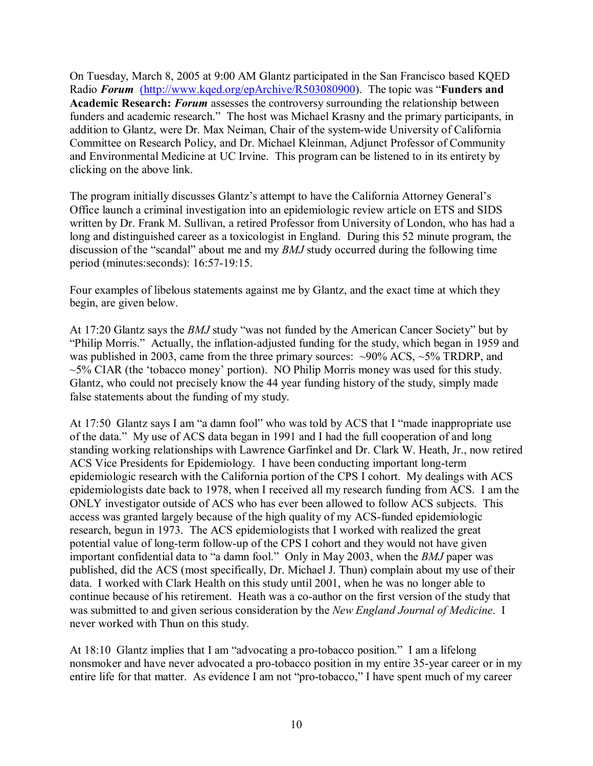On Tuesday, March 8, 2005 at 9:00 AM Glantz participated in the San Francisco based KQED Radio *Forum* (http://www.kqed.org/epArchive/R503080900). The topic was "**Funders and Academic Research:** *Forum* assesses the controversy surrounding the relationship between funders and academic research." The host was Michael Krasny and the primary participants, in addition to Glantz, were Dr. Max Neiman, Chair of the system-wide University of California Committee on Research Policy, and Dr. Michael Kleinman, Adjunct Professor of Community and Environmental Medicine at UC Irvine. This program can be listened to in its entirety by clicking on the above link.

The program initially discusses Glantz's attempt to have the California Attorney General's Office launch a criminal investigation into an epidemiologic review article on ETS and SIDS written by Dr. Frank M. Sullivan, a retired Professor from University of London, who has had a long and distinguished career as a toxicologist in England. During this 52 minute program, the discussion of the "scandal" about me and my *BMJ* study occurred during the following time period (minutes:seconds): 16:57-19:15.

Four examples of libelous statements against me by Glantz, and the exact time at which they begin, are given below.

At 17:20 Glantz says the *BMJ* study "was not funded by the American Cancer Society" but by "Philip Morris." Actually, the inflation-adjusted funding for the study, which began in 1959 and was published in 2003, came from the three primary sources:  $\sim$ 90% ACS,  $\sim$ 5% TRDRP, and  $\sim$ 5% CIAR (the 'tobacco money' portion). NO Philip Morris money was used for this study. Glantz, who could not precisely know the 44 year funding history of the study, simply made false statements about the funding of my study.

At 17:50 Glantz says I am "a damn fool" who was told by ACS that I "made inappropriate use of the data." My use of ACS data began in 1991 and I had the full cooperation of and long standing working relationships with Lawrence Garfinkel and Dr. Clark W. Heath, Jr., now retired ACS Vice Presidents for Epidemiology. I have been conducting important long-term epidemiologic research with the California portion of the CPS I cohort. My dealings with ACS epidemiologists date back to 1978, when I received all my research funding from ACS. I am the ONLY investigator outside of ACS who has ever been allowed to follow ACS subjects. This access was granted largely because of the high quality of my ACS-funded epidemiologic research, begun in 1973. The ACS epidemiologists that I worked with realized the great potential value of long-term follow-up of the CPS I cohort and they would not have given important confidential data to "a damn fool." Only in May 2003, when the *BMJ* paper was published, did the ACS (most specifically, Dr. Michael J. Thun) complain about my use of their data. I worked with Clark Health on this study until 2001, when he was no longer able to continue because of his retirement. Heath was a co-author on the first version of the study that was submitted to and given serious consideration by the *New England Journal of Medicine*. I never worked with Thun on this study.

At 18:10 Glantz implies that I am "advocating a pro-tobacco position." I am a lifelong nonsmoker and have never advocated a pro-tobacco position in my entire 35-year career or in my entire life for that matter. As evidence I am not "pro-tobacco," I have spent much of my career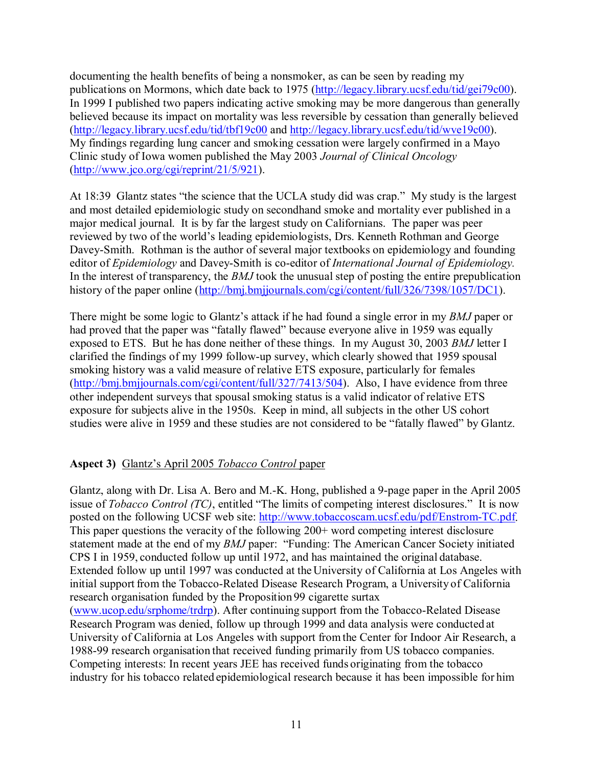documenting the health benefits of being a nonsmoker, as can be seen by reading my publications on Mormons, which date back to 1975 (http://legacy.library.ucsf.edu/tid/gei79c00). In 1999 I published two papers indicating active smoking may be more dangerous than generally believed because its impact on mortality was less reversible by cessation than generally believed (http://legacy.library.ucsf.edu/tid/tbf19c00 and http://legacy.library.ucsf.edu/tid/wve19c00). My findings regarding lung cancer and smoking cessation were largely confirmed in a Mayo Clinic study of Iowa women published the May 2003 *Journal of Clinical Oncology* (http://www.jco.org/cgi/reprint/21/5/921).

At 18:39 Glantz states "the science that the UCLA study did was crap." My study is the largest and most detailed epidemiologic study on secondhand smoke and mortality ever published in a major medical journal. It is by far the largest study on Californians. The paper was peer reviewed by two of the world's leading epidemiologists, Drs. Kenneth Rothman and George Davey-Smith. Rothman is the author of several major textbooks on epidemiology and founding editor of *Epidemiology* and Davey-Smith is co-editor of *International Journal of Epidemiology.* In the interest of transparency, the *BMJ* took the unusual step of posting the entire prepublication history of the paper online (http://bmj.bmjjournals.com/cgi/content/full/326/7398/1057/DC1).

There might be some logic to Glantz's attack if he had found a single error in my *BMJ* paper or had proved that the paper was "fatally flawed" because everyone alive in 1959 was equally exposed to ETS. But he has done neither of these things. In my August 30, 2003 *BMJ* letter I clarified the findings of my 1999 follow-up survey, which clearly showed that 1959 spousal smoking history was a valid measure of relative ETS exposure, particularly for females (http://bmj.bmjjournals.com/cgi/content/full/327/7413/504). Also, I have evidence from three other independent surveys that spousal smoking status is a valid indicator of relative ETS exposure for subjects alive in the 1950s. Keep in mind, all subjects in the other US cohort studies were alive in 1959 and these studies are not considered to be "fatally flawed" by Glantz.

## **Aspect 3)** Glantz's April 2005 *Tobacco Control* paper

Glantz, along with Dr. Lisa A. Bero and M.-K. Hong, published a 9-page paper in the April 2005 issue of *Tobacco Control (TC)*, entitled "The limits of competing interest disclosures." It is now posted on the following UCSF web site: http://www.tobaccoscam.ucsf.edu/pdf/Enstrom-TC.pdf. This paper questions the veracity of the following 200+ word competing interest disclosure statement made at the end of my *BMJ* paper: "Funding: The American Cancer Society initiated CPS I in 1959, conducted follow up until 1972, and has maintained the original database. Extended follow up until 1997 was conducted at the University of California at Los Angeles with initial support from the Tobacco-Related Disease Research Program, a University of California research organisation funded by the Proposition 99 cigarette surtax (www.ucop.edu/srphome/trdrp). After continuing support from the Tobacco-Related Disease Research Program was denied, follow up through 1999 and data analysis were conducted at University of California at Los Angeles with support fromthe Center for Indoor Air Research, a 1988-99 research organisation that received funding primarily from US tobacco companies. Competing interests: In recent years JEE has received funds originating from the tobacco industry for his tobacco related epidemiological research because it has been impossible for him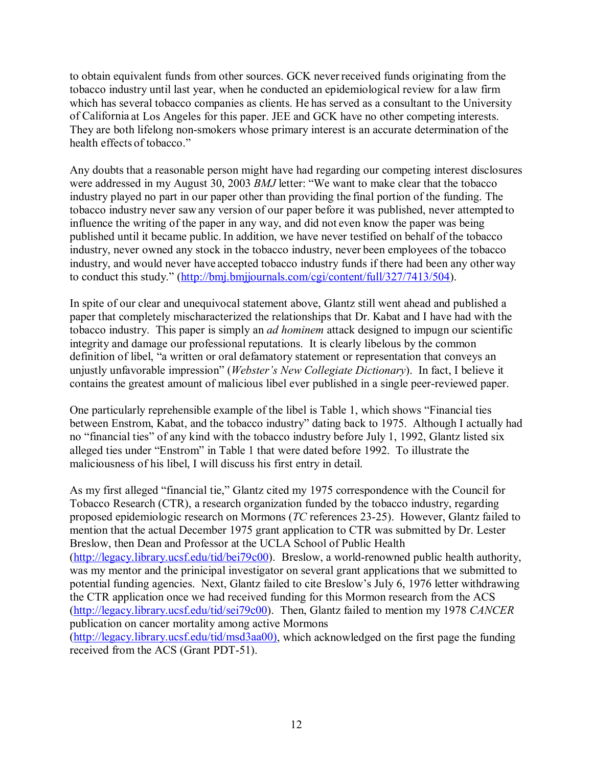to obtain equivalent funds from other sources. GCK neverreceived funds originating from the tobacco industry until last year, when he conducted an epidemiological review for a law firm which has several tobacco companies as clients. He has served as a consultant to the University of California at Los Angeles for this paper. JEE and GCK have no other competing interests. They are both lifelong non-smokers whose primary interest is an accurate determination of the health effects of tobacco."

Any doubts that a reasonable person might have had regarding our competing interest disclosures were addressed in my August 30, 2003 *BMJ* letter: "We want to make clear that the tobacco industry played no part in our paper other than providing the final portion of the funding. The tobacco industry never saw any version of our paper before it was published, never attempted to influence the writing of the paper in any way, and did not even know the paper was being published until it became public. In addition, we have never testified on behalf of the tobacco industry, never owned any stock in the tobacco industry, never been employees of the tobacco industry, and would never have accepted tobacco industry funds if there had been any other way to conduct this study." (http://bmj.bmjjournals.com/cgi/content/full/327/7413/504).

In spite of our clear and unequivocal statement above, Glantz still went ahead and published a paper that completely mischaracterized the relationships that Dr. Kabat and I have had with the tobacco industry. This paper is simply an *ad hominem* attack designed to impugn our scientific integrity and damage our professional reputations. It is clearly libelous by the common definition of libel, "a written or oral defamatory statement or representation that conveys an unjustly unfavorable impression" (*Webster's New Collegiate Dictionary*). In fact, I believe it contains the greatest amount of malicious libel ever published in a single peer-reviewed paper.

One particularly reprehensible example of the libel is Table 1, which shows "Financial ties between Enstrom, Kabat, and the tobacco industry" dating back to 1975. Although I actually had no "financial ties" of any kind with the tobacco industry before July 1, 1992, Glantz listed six alleged ties under "Enstrom" in Table 1 that were dated before 1992. To illustrate the maliciousness of his libel, I will discuss his first entry in detail.

As my first alleged "financial tie," Glantz cited my 1975 correspondence with the Council for Tobacco Research (CTR), a research organization funded by the tobacco industry, regarding proposed epidemiologic research on Mormons (*TC* references 23-25). However, Glantz failed to mention that the actual December 1975 grant application to CTR was submitted by Dr. Lester Breslow, then Dean and Professor at the UCLA School of Public Health (http://legacy.library.ucsf.edu/tid/bei79c00). Breslow, a world-renowned public health authority, was my mentor and the prinicipal investigator on several grant applications that we submitted to potential funding agencies. Next, Glantz failed to cite Breslow's July 6, 1976 letter withdrawing the CTR application once we had received funding for this Mormon research from the ACS (http://legacy.library.ucsf.edu/tid/sei79c00). Then, Glantz failed to mention my 1978 *CANCER* publication on cancer mortality among active Mormons (http://legacy.library.ucsf.edu/tid/msd3aa00), which acknowledged on the first page the funding

received from the ACS (Grant PDT-51).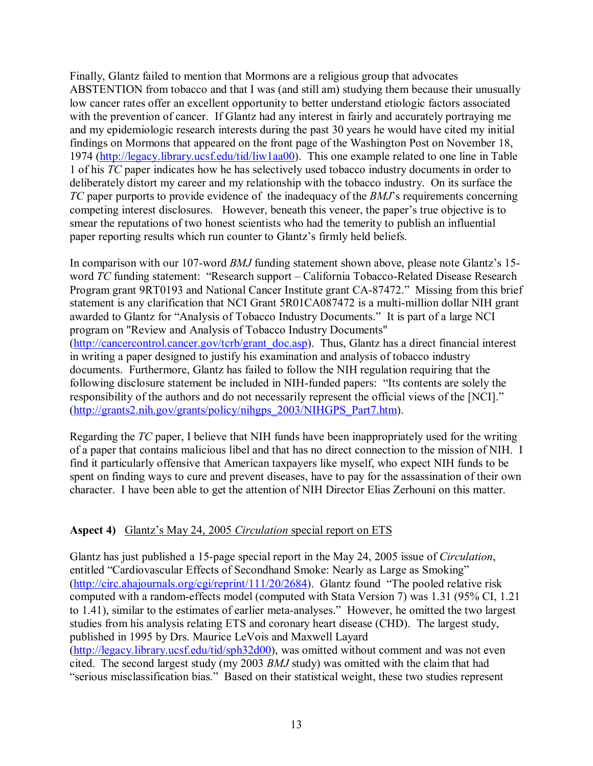Finally, Glantz failed to mention that Mormons are a religious group that advocates ABSTENTION from tobacco and that I was (and still am) studying them because their unusually low cancer rates offer an excellent opportunity to better understand etiologic factors associated with the prevention of cancer. If Glantz had any interest in fairly and accurately portraying me and my epidemiologic research interests during the past 30 years he would have cited my initial findings on Mormons that appeared on the front page of the Washington Post on November 18, 1974 (http://legacy.library.ucsf.edu/tid/liw1aa00). This one example related to one line in Table 1 of his *TC* paper indicates how he has selectively used tobacco industry documents in order to deliberately distort my career and my relationship with the tobacco industry. On its surface the *TC* paper purports to provide evidence of the inadequacy of the *BMJ*'s requirements concerning competing interest disclosures. However, beneath this veneer, the paper's true objective is to smear the reputations of two honest scientists who had the temerity to publish an influential paper reporting results which run counter to Glantz's firmly held beliefs.

In comparison with our 107-word *BMJ* funding statement shown above, please note Glantz's 15 word *TC* funding statement: "Research support – California Tobacco-Related Disease Research Program grant 9RT0193 and National Cancer Institute grant CA-87472." Missing from this brief statement is any clarification that NCI Grant 5R01CA087472 is a multi-million dollar NIH grant awarded to Glantz for "Analysis of Tobacco Industry Documents." It is part of a large NCI program on "Review and Analysis of Tobacco Industry Documents" (http://cancercontrol.cancer.gov/tcrb/grant\_doc.asp). Thus, Glantz has a direct financial interest in writing a paper designed to justify his examination and analysis of tobacco industry documents. Furthermore, Glantz has failed to follow the NIH regulation requiring that the following disclosure statement be included in NIH-funded papers: "Its contents are solely the responsibility of the authors and do not necessarily represent the official views of the [NCI]." (http://grants2.nih.gov/grants/policy/nihgps\_2003/NIHGPS\_Part7.htm).

Regarding the *TC* paper, I believe that NIH funds have been inappropriately used for the writing of a paper that contains malicious libel and that has no direct connection to the mission of NIH. I find it particularly offensive that American taxpayers like myself, who expect NIH funds to be spent on finding ways to cure and prevent diseases, have to pay for the assassination of their own character. I have been able to get the attention of NIH Director Elias Zerhouni on this matter.

## **Aspect 4)** Glantz's May 24, 2005 *Circulation* special report on ETS

Glantz has just published a 15-page special report in the May 24, 2005 issue of *Circulation*, entitled "Cardiovascular Effects of Secondhand Smoke: Nearly as Large as Smoking" (http://circ.ahajournals.org/cgi/reprint/111/20/2684). Glantz found "The pooled relative risk computed with a random-effects model (computed with Stata Version 7) was 1.31 (95% CI, 1.21 to 1.41), similar to the estimates of earlier meta-analyses." However, he omitted the two largest studies from his analysis relating ETS and coronary heart disease (CHD). The largest study, published in 1995 by Drs. Maurice LeVois and Maxwell Layard (http://legacy.library.ucsf.edu/tid/sph32d00), was omitted without comment and was not even cited. The second largest study (my 2003 *BMJ* study) was omitted with the claim that had "serious misclassification bias." Based on their statistical weight, these two studies represent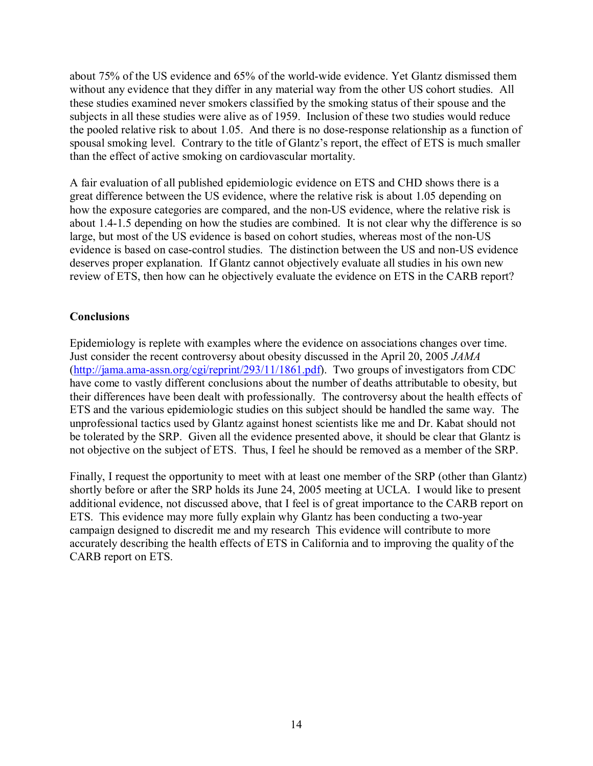about 75% of the US evidence and 65% of the world-wide evidence. Yet Glantz dismissed them without any evidence that they differ in any material way from the other US cohort studies. All these studies examined never smokers classified by the smoking status of their spouse and the subjects in all these studies were alive as of 1959. Inclusion of these two studies would reduce the pooled relative risk to about 1.05. And there is no dose-response relationship as a function of spousal smoking level. Contrary to the title of Glantz's report, the effect of ETS is much smaller than the effect of active smoking on cardiovascular mortality.

A fair evaluation of all published epidemiologic evidence on ETS and CHD shows there is a great difference between the US evidence, where the relative risk is about 1.05 depending on how the exposure categories are compared, and the non-US evidence, where the relative risk is about 1.4-1.5 depending on how the studies are combined. It is not clear why the difference is so large, but most of the US evidence is based on cohort studies, whereas most of the non-US evidence is based on case-control studies. The distinction between the US and non-US evidence deserves proper explanation. If Glantz cannot objectively evaluate all studies in his own new review of ETS, then how can he objectively evaluate the evidence on ETS in the CARB report?

## **Conclusions**

Epidemiology is replete with examples where the evidence on associations changes over time. Just consider the recent controversy about obesity discussed in the April 20, 2005 *JAMA* (http://jama.ama-assn.org/cgi/reprint/293/11/1861.pdf). Two groups of investigators from CDC have come to vastly different conclusions about the number of deaths attributable to obesity, but their differences have been dealt with professionally. The controversy about the health effects of ETS and the various epidemiologic studies on this subject should be handled the same way. The unprofessional tactics used by Glantz against honest scientists like me and Dr. Kabat should not be tolerated by the SRP. Given all the evidence presented above, it should be clear that Glantz is not objective on the subject of ETS. Thus, I feel he should be removed as a member of the SRP.

Finally, I request the opportunity to meet with at least one member of the SRP (other than Glantz) shortly before or after the SRP holds its June 24, 2005 meeting at UCLA. I would like to present additional evidence, not discussed above, that I feel is of great importance to the CARB report on ETS. This evidence may more fully explain why Glantz has been conducting a two-year campaign designed to discredit me and my research This evidence will contribute to more accurately describing the health effects of ETS in California and to improving the quality of the CARB report on ETS.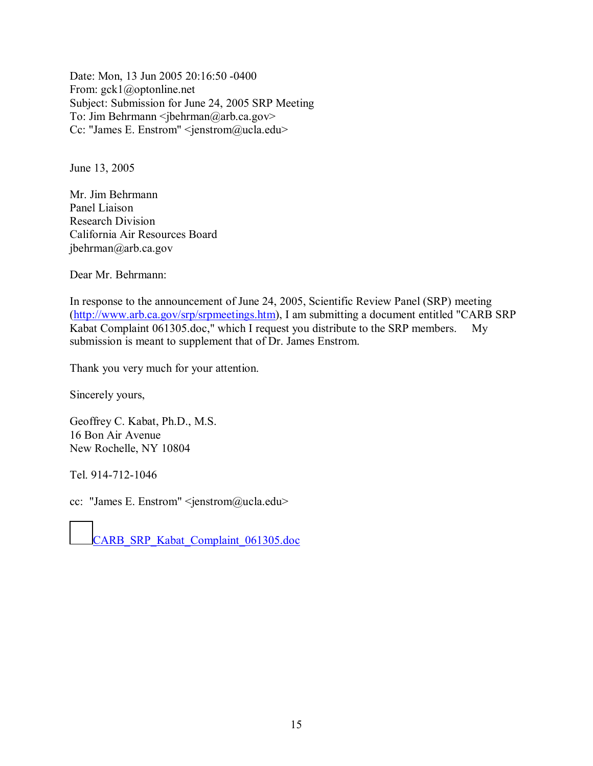Date: Mon, 13 Jun 2005 20:16:50 -0400 From: gck1@optonline.net Subject: Submission for June 24, 2005 SRP Meeting To: Jim Behrmann  $\leq$ jbehrman@arb.ca.gov> Cc: "James E. Enstrom" <jenstrom@ucla.edu>

June 13, 2005

Mr. Jim Behrmann Panel Liaison Research Division California Air Resources Board jbehrman@arb.ca.gov

Dear Mr. Behrmann:

In response to the announcement of June 24, 2005, Scientific Review Panel (SRP) meeting (http://www.arb.ca.gov/srp/srpmeetings.htm), I am submitting a document entitled "CARB SRP Kabat Complaint 061305.doc," which I request you distribute to the SRP members. My submission is meant to supplement that of Dr. James Enstrom.

Thank you very much for your attention.

Sincerely yours,

Geoffrey C. Kabat, Ph.D., M.S. 16 Bon Air Avenue New Rochelle, NY 10804

Tel. 914-712-1046

cc: "James E. Enstrom" <jenstrom@ucla.edu>

CARB\_SRP\_Kabat\_Complaint\_061305.doc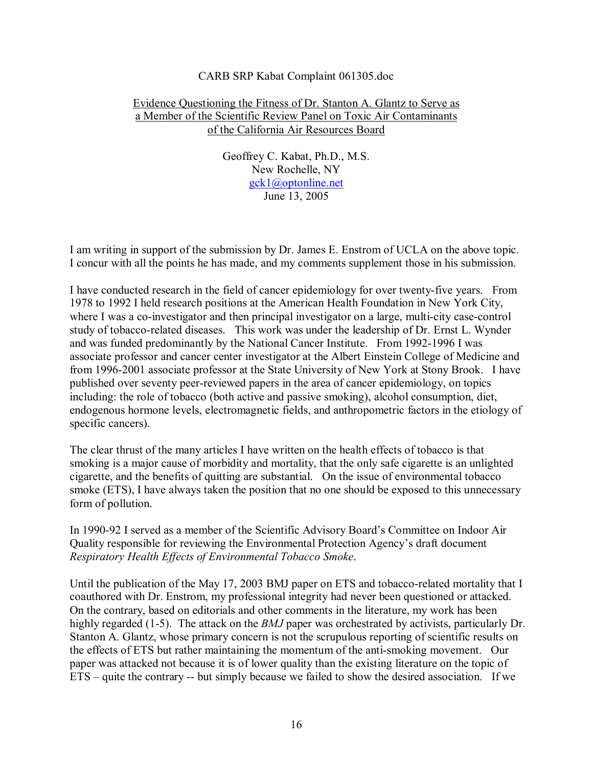## CARB SRP Kabat Complaint 061305.doc

## Evidence Questioning the Fitness of Dr. Stanton A. Glantz to Serve as a Member of the Scientific Review Panel on Toxic Air Contaminants of the California Air Resources Board

Geoffrey C. Kabat, Ph.D., M.S. New Rochelle, NY gck1@optonline.net June 13, 2005

I am writing in support of the submission by Dr. James E. Enstrom of UCLA on the above topic. I concur with all the points he has made, and my comments supplement those in his submission.

I have conducted research in the field of cancer epidemiology for over twenty-five years. From 1978 to 1992 I held research positions at the American Health Foundation in New York City, where I was a co-investigator and then principal investigator on a large, multi-city case-control study of tobacco-related diseases. This work was under the leadership of Dr. Ernst L. Wynder and was funded predominantly by the National Cancer Institute. From 1992-1996 I was associate professor and cancer center investigator at the Albert Einstein College of Medicine and from 1996-2001 associate professor at the State University of New York at Stony Brook. I have published over seventy peer-reviewed papers in the area of cancer epidemiology, on topics including: the role of tobacco (both active and passive smoking), alcohol consumption, diet, endogenous hormone levels, electromagnetic fields, and anthropometric factors in the etiology of specific cancers).

The clear thrust of the many articles I have written on the health effects of tobacco is that smoking is a major cause of morbidity and mortality, that the only safe cigarette is an unlighted cigarette, and the benefits of quitting are substantial. On the issue of environmental tobacco smoke (ETS), I have always taken the position that no one should be exposed to this unnecessary form of pollution.

In 1990-92 I served as a member of the Scientific Advisory Board's Committee on Indoor Air Quality responsible for reviewing the Environmental Protection Agency's draft document *Respiratory Health Effects of Environmental Tobacco Smoke*.

Until the publication of the May 17, 2003 BMJ paper on ETS and tobacco-related mortality that I coauthored with Dr. Enstrom, my professional integrity had never been questioned or attacked. On the contrary, based on editorials and other comments in the literature, my work has been highly regarded (1-5). The attack on the *BMJ* paper was orchestrated by activists, particularly Dr. Stanton A. Glantz, whose primary concern is not the scrupulous reporting of scientific results on the effects of ETS but rather maintaining the momentum of the anti-smoking movement. Our paper was attacked not because it is of lower quality than the existing literature on the topic of ETS – quite the contrary -- but simply because we failed to show the desired association. If we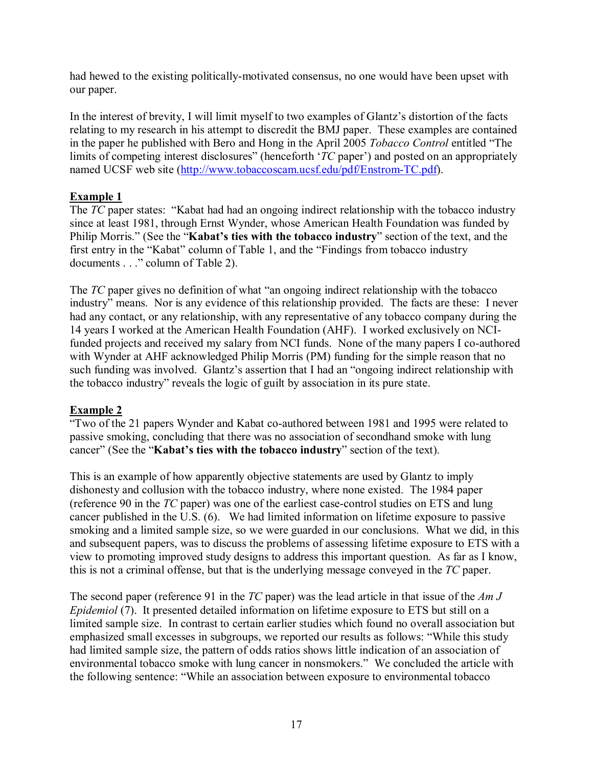had hewed to the existing politically-motivated consensus, no one would have been upset with our paper.

In the interest of brevity, I will limit myself to two examples of Glantz's distortion of the facts relating to my research in his attempt to discredit the BMJ paper. These examples are contained in the paper he published with Bero and Hong in the April 2005 *Tobacco Control* entitled "The limits of competing interest disclosures" (henceforth '*TC* paper') and posted on an appropriately named UCSF web site (http://www.tobaccoscam.ucsf.edu/pdf/Enstrom-TC.pdf).

## **Example 1**

The *TC* paper states: "Kabat had had an ongoing indirect relationship with the tobacco industry since at least 1981, through Ernst Wynder, whose American Health Foundation was funded by Philip Morris." (See the "**Kabat's ties with the tobacco industry**" section of the text, and the first entry in the "Kabat" column of Table 1, and the "Findings from tobacco industry documents . . ." column of Table 2).

The *TC* paper gives no definition of what "an ongoing indirect relationship with the tobacco industry" means. Nor is any evidence of this relationship provided. The facts are these: I never had any contact, or any relationship, with any representative of any tobacco company during the 14 years I worked at the American Health Foundation (AHF). I worked exclusively on NCIfunded projects and received my salary from NCI funds. None of the many papers I co-authored with Wynder at AHF acknowledged Philip Morris (PM) funding for the simple reason that no such funding was involved. Glantz's assertion that I had an "ongoing indirect relationship with the tobacco industry" reveals the logic of guilt by association in its pure state.

## **Example 2**

"Two of the 21 papers Wynder and Kabat co-authored between 1981 and 1995 were related to passive smoking, concluding that there was no association of secondhand smoke with lung cancer" (See the "**Kabat's ties with the tobacco industry**" section of the text).

This is an example of how apparently objective statements are used by Glantz to imply dishonesty and collusion with the tobacco industry, where none existed. The 1984 paper (reference 90 in the *TC* paper) was one of the earliest case-control studies on ETS and lung cancer published in the U.S. (6). We had limited information on lifetime exposure to passive smoking and a limited sample size, so we were guarded in our conclusions. What we did, in this and subsequent papers, was to discuss the problems of assessing lifetime exposure to ETS with a view to promoting improved study designs to address this important question. As far as I know, this is not a criminal offense, but that is the underlying message conveyed in the *TC* paper.

The second paper (reference 91 in the *TC* paper) was the lead article in that issue of the *Am J Epidemiol* (7). It presented detailed information on lifetime exposure to ETS but still on a limited sample size. In contrast to certain earlier studies which found no overall association but emphasized small excesses in subgroups, we reported our results as follows: "While this study had limited sample size, the pattern of odds ratios shows little indication of an association of environmental tobacco smoke with lung cancer in nonsmokers." We concluded the article with the following sentence: "While an association between exposure to environmental tobacco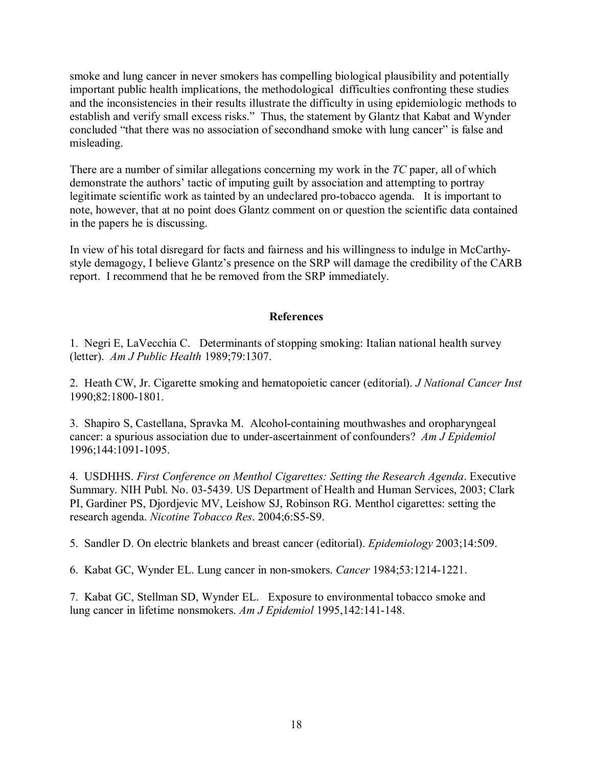smoke and lung cancer in never smokers has compelling biological plausibility and potentially important public health implications, the methodological difficulties confronting these studies and the inconsistencies in their results illustrate the difficulty in using epidemiologic methods to establish and verify small excess risks." Thus, the statement by Glantz that Kabat and Wynder concluded "that there was no association of secondhand smoke with lung cancer" is false and misleading.

There are a number of similar allegations concerning my work in the *TC* paper, all of which demonstrate the authors' tactic of imputing guilt by association and attempting to portray legitimate scientific work as tainted by an undeclared pro-tobacco agenda. It is important to note, however, that at no point does Glantz comment on or question the scientific data contained in the papers he is discussing.

In view of his total disregard for facts and fairness and his willingness to indulge in McCarthystyle demagogy, I believe Glantz's presence on the SRP will damage the credibility of the CARB report. I recommend that he be removed from the SRP immediately.

## **References**

1. Negri E, LaVecchia C. Determinants of stopping smoking: Italian national health survey (letter). *Am J Public Health* 1989;79:1307.

2. Heath CW, Jr. Cigarette smoking and hematopoietic cancer (editorial). *J National Cancer Inst* 1990;82:1800-1801.

3. Shapiro S, Castellana, Spravka M. Alcohol-containing mouthwashes and oropharyngeal cancer: a spurious association due to under-ascertainment of confounders? *Am J Epidemiol*  1996;144:1091-1095.

4. USDHHS. *First Conference on Menthol Cigarettes: Setting the Research Agenda*. Executive Summary. NIH Publ. No. 03-5439. US Department of Health and Human Services, 2003; Clark PI, Gardiner PS, Djordjevic MV, Leishow SJ, Robinson RG. Menthol cigarettes: setting the research agenda. *Nicotine Tobacco Res*. 2004;6:S5-S9.

5. Sandler D. On electric blankets and breast cancer (editorial). *Epidemiology* 2003;14:509.

6. Kabat GC, Wynder EL. Lung cancer in non-smokers. *Cancer* 1984;53:1214-1221.

7. Kabat GC, Stellman SD, Wynder EL. Exposure to environmental tobacco smoke and lung cancer in lifetime nonsmokers. *Am J Epidemiol* 1995,142:141-148.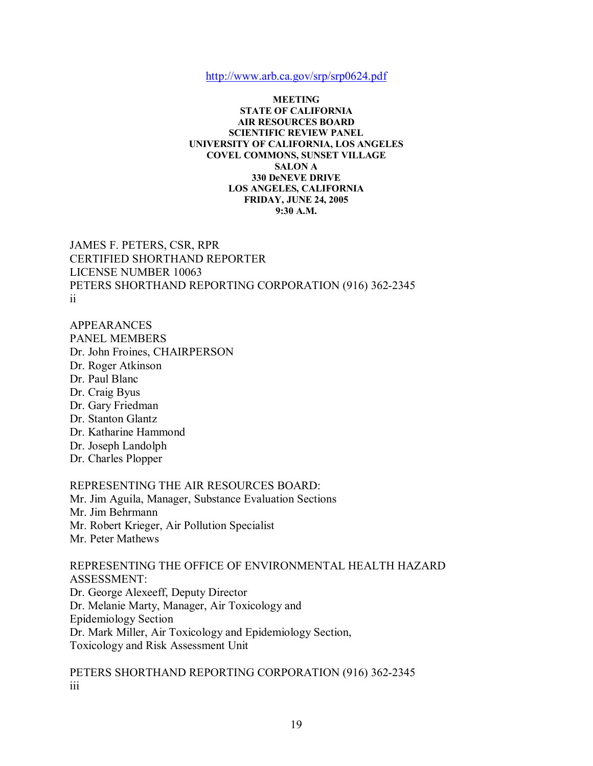http://www.arb.ca.gov/srp/srp0624.pdf

#### **MEETING STATE OF CALIFORNIA AIR RESOURCES BOARD SCIENTIFIC REVIEW PANEL UNIVERSITY OF CALIFORNIA, LOS ANGELES COVEL COMMONS, SUNSET VILLAGE SALON A 330 DeNEVE DRIVE LOS ANGELES, CALIFORNIA FRIDAY, JUNE 24, 2005 9:30 A.M.**

JAMES F. PETERS, CSR, RPR CERTIFIED SHORTHAND REPORTER LICENSE NUMBER 10063 PETERS SHORTHAND REPORTING CORPORATION (916) 362-2345 ii

APPEARANCES PANEL MEMBERS Dr. John Froines, CHAIRPERSON Dr. Roger Atkinson Dr. Paul Blanc Dr. Craig Byus Dr. Gary Friedman Dr. Stanton Glantz Dr. Katharine Hammond Dr. Joseph Landolph Dr. Charles Plopper

## REPRESENTING THE AIR RESOURCES BOARD:

Mr. Jim Aguila, Manager, Substance Evaluation Sections Mr. Jim Behrmann Mr. Robert Krieger, Air Pollution Specialist

Mr. Peter Mathews

REPRESENTING THE OFFICE OF ENVIRONMENTAL HEALTH HAZARD ASSESSMENT: Dr. George Alexeeff, Deputy Director Dr. Melanie Marty, Manager, Air Toxicology and Epidemiology Section Dr. Mark Miller, Air Toxicology and Epidemiology Section, Toxicology and Risk Assessment Unit

PETERS SHORTHAND REPORTING CORPORATION (916) 362-2345 iii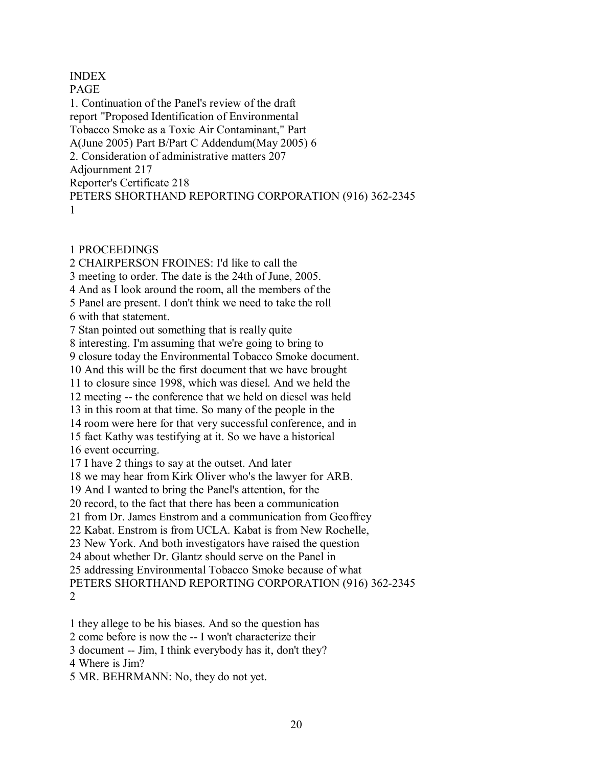INDEX PAGE 1. Continuation of the Panel's review of the draft report "Proposed Identification of Environmental Tobacco Smoke as a Toxic Air Contaminant," Part A(June 2005) Part B/Part C Addendum(May 2005) 6 2. Consideration of administrative matters 207 Adjournment 217 Reporter's Certificate 218 PETERS SHORTHAND REPORTING CORPORATION (916) 362-2345 1

## 1 PROCEEDINGS

2 CHAIRPERSON FROINES: I'd like to call the 3 meeting to order. The date is the 24th of June, 2005. 4 And as I look around the room, all the members of the 5 Panel are present. I don't think we need to take the roll 6 with that statement. 7 Stan pointed out something that is really quite 8 interesting. I'm assuming that we're going to bring to 9 closure today the Environmental Tobacco Smoke document. 10 And this will be the first document that we have brought 11 to closure since 1998, which was diesel. And we held the 12 meeting -- the conference that we held on diesel was held 13 in this room at that time. So many of the people in the 14 room were here for that very successful conference, and in 15 fact Kathy was testifying at it. So we have a historical 16 event occurring. 17 I have 2 things to say at the outset. And later 18 we may hear from Kirk Oliver who's the lawyer for ARB. 19 And I wanted to bring the Panel's attention, for the 20 record, to the fact that there has been a communication 21 from Dr. James Enstrom and a communication from Geoffrey 22 Kabat. Enstrom is from UCLA. Kabat is from New Rochelle, 23 New York. And both investigators have raised the question 24 about whether Dr. Glantz should serve on the Panel in 25 addressing Environmental Tobacco Smoke because of what PETERS SHORTHAND REPORTING CORPORATION (916) 362-2345 2

1 they allege to be his biases. And so the question has

2 come before is now the -- I won't characterize their

3 document -- Jim, I think everybody has it, don't they?

4 Where is Jim?

5 MR. BEHRMANN: No, they do not yet.